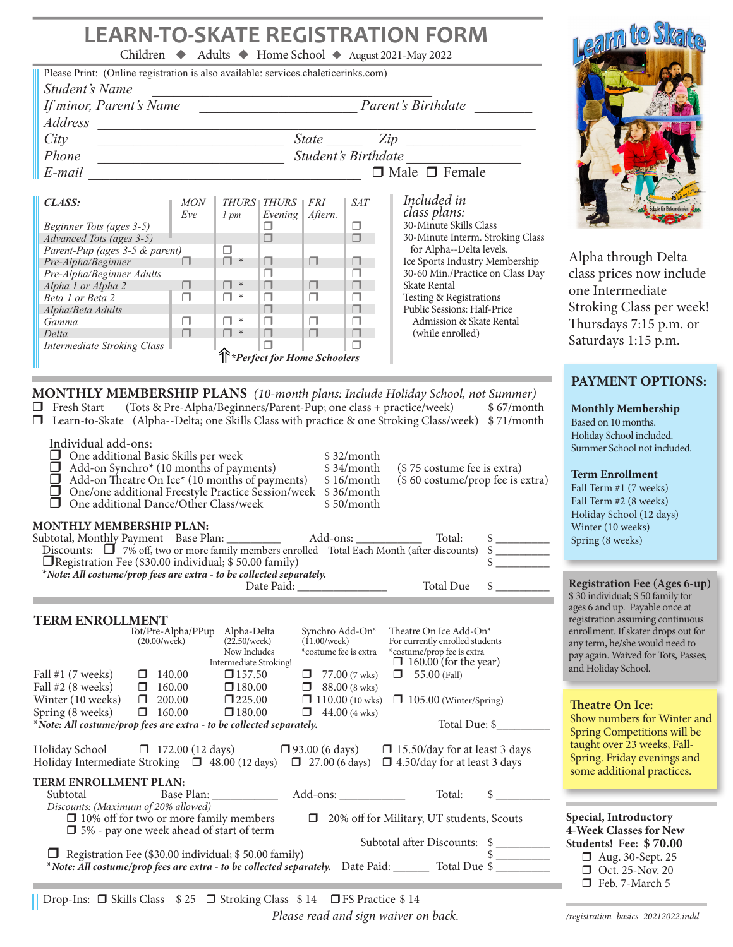## **LEARN-TO-SKATE REGISTRATION FORM**

| <b>LEARN-TO-SKATE REGISTRATION FORM</b><br>Children ◆ Adults ◆ Home School ◆ August 2021-May 2022<br>Please Print: (Online registration is also available: services.chaleticerinks.com)<br><b>Student's Name</b><br>Parent's Birthdate<br>If minor, Parent's Name<br><b>Address</b><br>$State$ $Zip$<br>City<br>$\Box$ Male $\Box$ Female<br>E-mail expression of the contract of the contract of the contract of the contract of the contract of the contract of the contract of the contract of the contract of the contract of the contract of the contract of the contr<br>Included in<br>CLASS:<br><b>MON</b><br>THURS   THURS   FRI<br><b>SAT</b><br>class plans:<br>Eve<br>Evening $Aftern.$<br>$1 \, pm$<br>30-Minute Skills Class<br>Beginner Tots (ages 3-5)<br>□<br>$\Box$<br>$\Box$<br>$\Box$<br>30-Minute Interm. Stroking Class<br>Advanced Tots (ages 3-5)<br>$\Box$<br>for Alpha--Delta levels.<br>Parent-Pup (ages 3-5 & parent)<br>$\Box$ *<br>Ice Sports Industry Membership<br>$\Box$<br>$\Box$<br>$\Box$<br>Pre-Alpha/Beginner<br>$\Box$<br>$\Box$<br>30-60 Min./Practice on Class Day<br>$\Box$<br>Pre-Alpha/Beginner Adults<br>$\Box$<br>$\Box$<br>$\Box$<br>$\square$ *<br>$\Box$<br>Skate Rental<br>Alpha 1 or Alpha 2<br>$\square$ *<br>$\Box$<br>$\Box$<br>$\Box$<br>$\Box$<br>Testing & Registrations<br>Public Sessions: Half-Price<br>Beta 1 or Beta 2<br>$\Box$<br>$\Box$<br>Alpha/Beta Adults<br>$\Box$<br>$\Box$<br>$\Box$<br>$\square$ *<br>Admission & Skate Rental<br>$\Box$<br>Gamma<br>$\Box$<br>$\Box$<br>$\Box$<br>$\square$ *<br>$\Box$<br>(while enrolled)<br>Delta<br>$\Box$<br><b>Intermediate Stroking Class</b><br>$\Box$<br><sup>1</sup> *Perfect for Home Schoolers | Learn to Skar<br>Alpha through Delta<br>class prices now include<br>one Intermediate<br>Stroking Class per week!<br>Thursdays 7:15 p.m. or<br>Saturdays 1:15 p.m.                                                                                                                                                                                                                                    |
|---------------------------------------------------------------------------------------------------------------------------------------------------------------------------------------------------------------------------------------------------------------------------------------------------------------------------------------------------------------------------------------------------------------------------------------------------------------------------------------------------------------------------------------------------------------------------------------------------------------------------------------------------------------------------------------------------------------------------------------------------------------------------------------------------------------------------------------------------------------------------------------------------------------------------------------------------------------------------------------------------------------------------------------------------------------------------------------------------------------------------------------------------------------------------------------------------------------------------------------------------------------------------------------------------------------------------------------------------------------------------------------------------------------------------------------------------------------------------------------------------------------------------------------------------------------------------------------------------------------------------------------------------------------------------------------------------------------------|------------------------------------------------------------------------------------------------------------------------------------------------------------------------------------------------------------------------------------------------------------------------------------------------------------------------------------------------------------------------------------------------------|
| MONTHLY MEMBERSHIP PLANS (10-month plans: Include Holiday School, not Summer)<br>$\Box$ Fresh Start<br>(Tots & Pre-Alpha/Beginners/Parent-Pup; one class + practice/week) \$67/month<br><b>I</b> Learn-to-Skate (Alpha--Delta; one Skills Class with practice & one Stroking Class/week) \$71/month<br>Individual add-ons:<br>One additional Basic Skills per week<br>\$32/month<br>$\Box$<br>Add-on Synchro* (10 months of payments)<br>Add-on Theatre On Ice* (10 months of payments)<br>\$34/month<br>(\$75 costume fee is extra)<br>(\$60 costume/prop fee is extra)<br>\$16/month<br>One/one additional Freestyle Practice Session/week \$36/month<br>$\Box$<br>One additional Dance/Other Class/week<br>П<br>\$50/month<br><b>MONTHLY MEMBERSHIP PLAN:</b><br>Total:<br>Discounts: $\Box$ 7% off, two or more family members enrolled Total Each Month (after discounts)<br>\$<br>$\Box$ Registration Fee (\$30.00 individual; \$50.00 family)<br>\$<br>*Note: All costume/prop fees are extra - to be collected separately.                                                                                                                                                                                                                                                                                                                                                                                                                                                                                                                                                                                                                                                                                  | PAYMENT OPTIONS:<br><b>Monthly Membership</b><br>Based on 10 months.<br>Holiday School included.<br>Summer School not included.<br><b>Term Enrollment</b><br>Fall Term #1 (7 weeks)<br>Fall Term #2 (8 weeks)<br>Holiday School (12 days)<br>Winter (10 weeks)<br>Spring (8 weeks)                                                                                                                   |
| Total Due<br>\$<br>Date Paid:<br><b>TERM ENROLLMENT</b><br>Tot/Pre-Alpha/PPup<br>Alpha-Delta<br>Synchro Add-On*<br>Theatre On Ice Add-On*<br>$(22.50$ /week $)$<br>$(11.00$ /week $)$<br>For currently enrolled students<br>(20.00/week)<br>Now Includes<br>*costume fee is extra<br>*costume/prop fee is extra<br>$\Box$ 160.00 (for the year)<br>Intermediate Stroking!<br>Fall $#1$ (7 weeks)<br>140.00<br>$\square$ 157.50<br>$77.00(7$ wks)<br>$\Box$ 55.00 (Fall)<br>Fall #2 (8 weeks)<br>$\square$ 180.00<br>$\Box$ 160.00<br>88.00 (8 wks)<br>$\Box$<br>$\Box$ 200.00<br>$\square$ 225.00<br>Winter (10 weeks)<br>$\Box$ 110.00 (10 wks)<br>$\Box$ 105.00 (Winter/Spring)<br>Spring (8 weeks)<br>160.00<br>$\square$ 180.00<br>$44.00$ (4 wks)<br>Total Due: \$<br>*Note: All costume/prop fees are extra - to be collected separately.<br>Holiday School<br>$\Box$ 172.00 (12 days)<br>$\Box$ 93.00 (6 days)<br>$\Box$ 15.50/day for at least 3 days                                                                                                                                                                                                                                                                                                                                                                                                                                                                                                                                                                                                                                                                                                                                                       | <b>Registration Fee (Ages 6-up)</b><br>\$30 individual; \$50 family for<br>ages 6 and up. Payable once at<br>registration assuming continuous<br>enrollment. If skater drops out for<br>any term, he/she would need to<br>pay again. Waived for Tots, Passes,<br>and Holiday School.<br>Theatre On Ice:<br>Show numbers for Winter and<br>Spring Competitions will be<br>taught over 23 weeks, Fall- |
| Holiday Intermediate Stroking $\Box$ 48.00 (12 days)<br>$\Box$ 27.00 (6 days)<br>$\Box$ 4.50/day for at least 3 days<br><b>TERM ENROLLMENT PLAN:</b><br>Total:<br>Subtotal<br>$Add-ons:$<br>Discounts: (Maximum of 20% allowed)<br>$\Box$ 10% off for two or more family members<br>□ 20% off for Military, UT students, Scouts<br>$\Box$ 5% - pay one week ahead of start of term<br>Subtotal after Discounts: \$<br>Registration Fee (\$30.00 individual; \$50.00 family)<br>*Note: All costume/prop fees are extra - to be collected separately. Date Paid: __________ Total Due \$                                                                                                                                                                                                                                                                                                                                                                                                                                                                                                                                                                                                                                                                                                                                                                                                                                                                                                                                                                                                                                                                                                                              | Spring. Friday evenings and<br>some additional practices.<br>Special, Introductory<br>4-Week Classes for New<br>Students! Fee: \$70.00<br>□ Aug. 30-Sept. 25<br>Oct. 25-Nov. 20<br>Feb. 7-March 5                                                                                                                                                                                                    |

|| Drop-Ins: □ Skills Class \$25 □ Stroking Class \$14 □ FS Practice \$14

*Please read and sign waiver on back.*